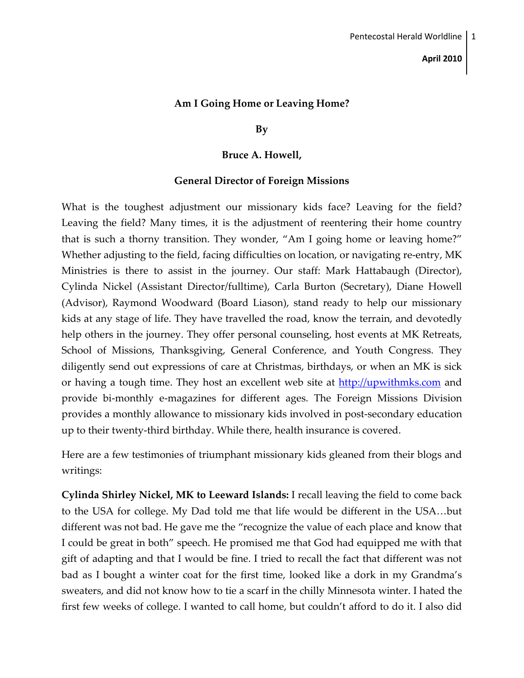#### **April 2010**

### **Am I Going Home or Leaving Home?**

**By**

# **Bruce A. Howell,**

# **General Director of Foreign Missions**

What is the toughest adjustment our missionary kids face? Leaving for the field? Leaving the field? Many times, it is the adjustment of reentering their home country that is such a thorny transition. They wonder, "Am I going home or leaving home?" Whether adjusting to the field, facing difficulties on location, or navigating re-entry, MK Ministries is there to assist in the journey. Our staff: Mark Hattabaugh (Director), Cylinda Nickel (Assistant Director/fulltime), Carla Burton (Secretary), Diane Howell (Advisor), Raymond Woodward (Board Liason), stand ready to help our missionary kids at any stage of life. They have travelled the road, know the terrain, and devotedly help others in the journey. They offer personal counseling, host events at MK Retreats, School of Missions, Thanksgiving, General Conference, and Youth Congress. They diligently send out expressions of care at Christmas, birthdays, or when an MK is sick or having a tough time. They host an excellent web site at [http://upwithmks.com](http://upwithmks.com/) and provide bi-monthly e-magazines for different ages. The Foreign Missions Division provides a monthly allowance to missionary kids involved in post-secondary education up to their twenty-third birthday. While there, health insurance is covered.

Here are a few testimonies of triumphant missionary kids gleaned from their blogs and writings:

**Cylinda Shirley Nickel, MK to Leeward Islands:** I recall leaving the field to come back to the USA for college. My Dad told me that life would be different in the USA…but different was not bad. He gave me the "recognize the value of each place and know that I could be great in both" speech. He promised me that God had equipped me with that gift of adapting and that I would be fine. I tried to recall the fact that different was not bad as I bought a winter coat for the first time, looked like a dork in my Grandma's sweaters, and did not know how to tie a scarf in the chilly Minnesota winter. I hated the first few weeks of college. I wanted to call home, but couldn't afford to do it. I also did